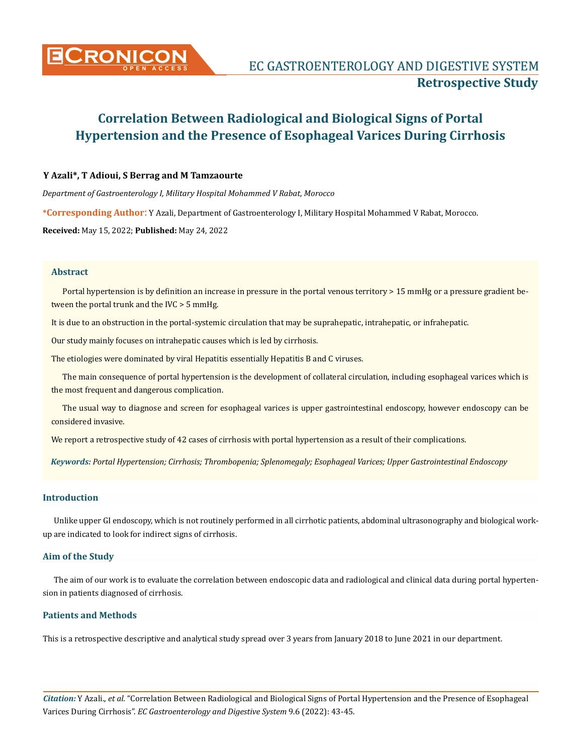

# **Correlation Between Radiological and Biological Signs of Portal Hypertension and the Presence of Esophageal Varices During Cirrhosis**

## **Y Azali\*, T Adioui, S Berrag and M Tamzaourte**

*Department of Gastroenterology I, Military Hospital Mohammed V Rabat, Morocco*

**\*Corresponding Author**: Y Azali, Department of Gastroenterology I, Military Hospital Mohammed V Rabat, Morocco.

**Received:** May 15, 2022; **Published:** May 24, 2022

## **Abstract**

Portal hypertension is by definition an increase in pressure in the portal venous territory > 15 mmHg or a pressure gradient between the portal trunk and the IVC > 5 mmHg.

It is due to an obstruction in the portal-systemic circulation that may be suprahepatic, intrahepatic, or infrahepatic.

Our study mainly focuses on intrahepatic causes which is led by cirrhosis.

The etiologies were dominated by viral Hepatitis essentially Hepatitis B and C viruses.

The main consequence of portal hypertension is the development of collateral circulation, including esophageal varices which is the most frequent and dangerous complication.

The usual way to diagnose and screen for esophageal varices is upper gastrointestinal endoscopy, however endoscopy can be considered invasive.

We report a retrospective study of 42 cases of cirrhosis with portal hypertension as a result of their complications.

*Keywords: Portal Hypertension; Cirrhosis; Thrombopenia; Splenomegaly; Esophageal Varices; Upper Gastrointestinal Endoscopy*

## **Introduction**

Unlike upper GI endoscopy, which is not routinely performed in all cirrhotic patients, abdominal ultrasonography and biological workup are indicated to look for indirect signs of cirrhosis.

## **Aim of the Study**

The aim of our work is to evaluate the correlation between endoscopic data and radiological and clinical data during portal hypertension in patients diagnosed of cirrhosis.

## **Patients and Methods**

This is a retrospective descriptive and analytical study spread over 3 years from January 2018 to June 2021 in our department.

*Citation:* Y Azali., *et al.* "Correlation Between Radiological and Biological Signs of Portal Hypertension and the Presence of Esophageal Varices During Cirrhosis". *EC Gastroenterology and Digestive System* 9.6 (2022): 43-45.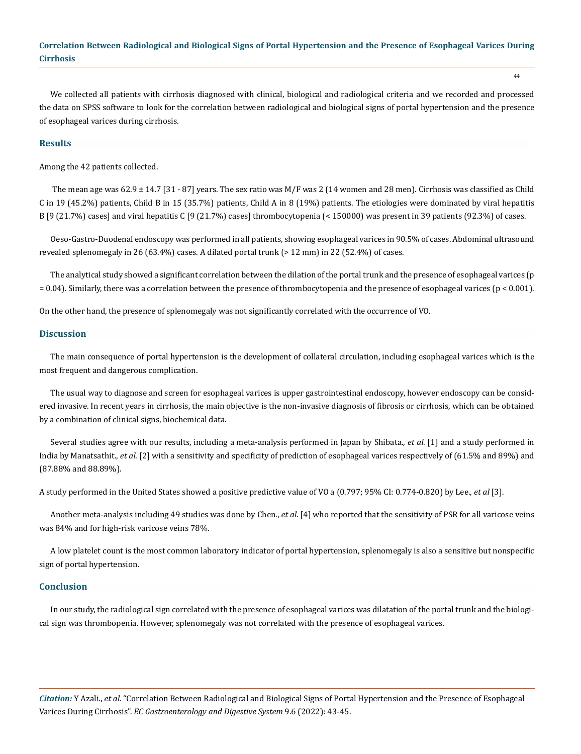# **Correlation Between Radiological and Biological Signs of Portal Hypertension and the Presence of Esophageal Varices During Cirrhosis**

44

We collected all patients with cirrhosis diagnosed with clinical, biological and radiological criteria and we recorded and processed the data on SPSS software to look for the correlation between radiological and biological signs of portal hypertension and the presence of esophageal varices during cirrhosis.

## **Results**

Among the 42 patients collected.

The mean age was 62.9  $\pm$  14.7 [31 - 87] years. The sex ratio was M/F was 2 (14 women and 28 men). Cirrhosis was classified as Child C in 19 (45.2%) patients, Child B in 15 (35.7%) patients, Child A in 8 (19%) patients. The etiologies were dominated by viral hepatitis B [9 (21.7%) cases] and viral hepatitis C [9 (21.7%) cases] thrombocytopenia (< 150000) was present in 39 patients (92.3%) of cases.

Oeso-Gastro-Duodenal endoscopy was performed in all patients, showing esophageal varices in 90.5% of cases. Abdominal ultrasound revealed splenomegaly in 26 (63.4%) cases. A dilated portal trunk (> 12 mm) in 22 (52.4%) of cases.

The analytical study showed a significant correlation between the dilation of the portal trunk and the presence of esophageal varices (p = 0.04). Similarly, there was a correlation between the presence of thrombocytopenia and the presence of esophageal varices (p < 0.001).

On the other hand, the presence of splenomegaly was not significantly correlated with the occurrence of VO.

#### **Discussion**

The main consequence of portal hypertension is the development of collateral circulation, including esophageal varices which is the most frequent and dangerous complication.

The usual way to diagnose and screen for esophageal varices is upper gastrointestinal endoscopy, however endoscopy can be considered invasive. In recent years in cirrhosis, the main objective is the non-invasive diagnosis of fibrosis or cirrhosis, which can be obtained by a combination of clinical signs, biochemical data.

Several studies agree with our results, including a meta-analysis performed in Japan by Shibata., *et al*. [1] and a study performed in India by Manatsathit., *et al*. [2] with a sensitivity and specificity of prediction of esophageal varices respectively of (61.5% and 89%) and (87.88% and 88.89%).

A study performed in the United States showed a positive predictive value of VO a (0.797; 95% CI: 0.774-0.820) by Lee., *et al* [3].

Another meta-analysis including 49 studies was done by Chen., *et al*. [4] who reported that the sensitivity of PSR for all varicose veins was 84% and for high-risk varicose veins 78%.

A low platelet count is the most common laboratory indicator of portal hypertension, splenomegaly is also a sensitive but nonspecific sign of portal hypertension.

#### **Conclusion**

In our study, the radiological sign correlated with the presence of esophageal varices was dilatation of the portal trunk and the biological sign was thrombopenia. However, splenomegaly was not correlated with the presence of esophageal varices.

*Citation:* Y Azali., *et al.* "Correlation Between Radiological and Biological Signs of Portal Hypertension and the Presence of Esophageal Varices During Cirrhosis". *EC Gastroenterology and Digestive System* 9.6 (2022): 43-45.